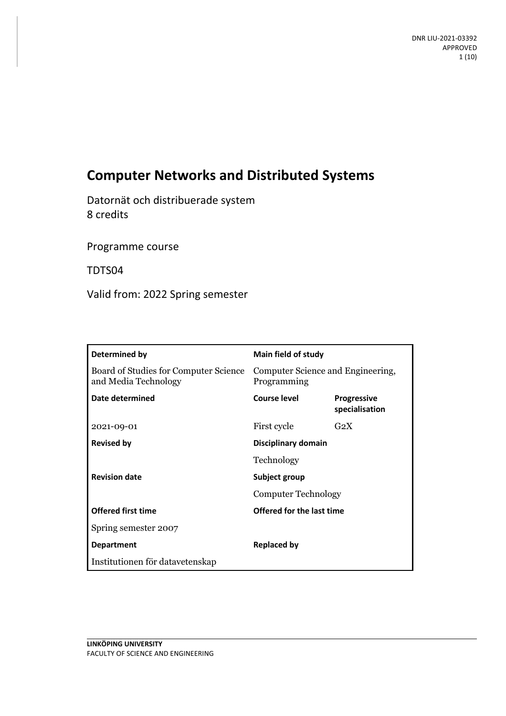# **Computer Networks and Distributed Systems**

Datornät och distribuerade system 8 credits

Programme course

TDTS04

Valid from: 2022 Spring semester

| Determined by                                                 | Main field of study                              |                                      |
|---------------------------------------------------------------|--------------------------------------------------|--------------------------------------|
| Board of Studies for Computer Science<br>and Media Technology | Computer Science and Engineering,<br>Programming |                                      |
| Date determined                                               | Course level                                     | <b>Progressive</b><br>specialisation |
| 2021-09-01                                                    | First cycle                                      | $G_2X$                               |
| <b>Revised by</b>                                             | Disciplinary domain                              |                                      |
|                                                               | Technology                                       |                                      |
| <b>Revision date</b>                                          | Subject group<br><b>Computer Technology</b>      |                                      |
|                                                               |                                                  |                                      |
| <b>Offered first time</b>                                     | Offered for the last time                        |                                      |
| Spring semester 2007                                          |                                                  |                                      |
| <b>Department</b>                                             | <b>Replaced by</b>                               |                                      |
| Institutionen för datavetenskap                               |                                                  |                                      |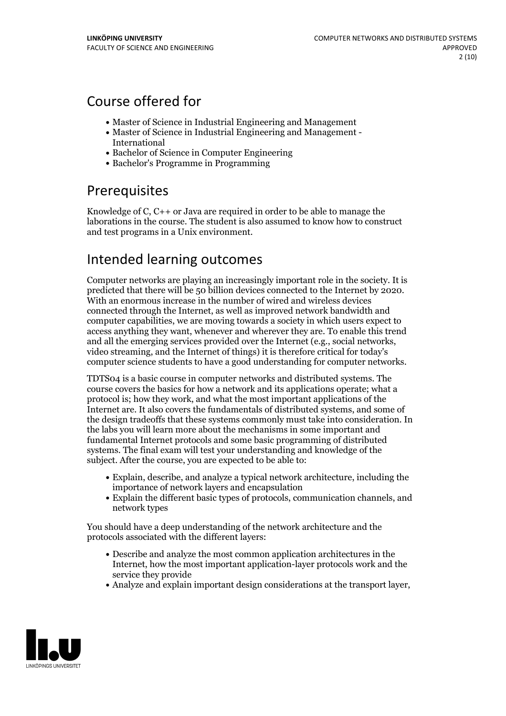# Course offered for

- Master of Science in Industrial Engineering and Management
- Master of Science in Industrial Engineering and Management International
- Bachelor of Science in Computer Engineering
- Bachelor's Programme in Programming

# Prerequisites

Knowledge of  $C$ ,  $C$ ++ or Java are required in order to be able to manage the laborations in the course. The student is also assumed to know how to construct and test programs in a Unix environment.

# Intended learning outcomes

Computer networks are playing an increasingly important role in the society. It is predicted that there will be <sup>50</sup> billion devices connected to the Internet by 2020. With an enormous increase in the number of wired and wireless devices connected through the Internet, as well as improved network bandwidth and computer capabilities, we are moving towards a society in which users expect to access anything they want, whenever and wherever they are. To enable this trend and all the emerging services provided over the Internet (e.g., social networks, video streaming, and the Internet of things) it is therefore critical for today's computer science students to have a good understanding for computer networks.

TDTS04 isa basic course in computer networks and distributed systems. The course covers the basics for how a network and its applications operate; what a protocol is; how they work, and what the most important applications of the Internet are. It also covers the fundamentals of distributed systems, and some of the design tradeoffs that these systems commonly must take into consideration. In the labs you will learn more about the mechanisms in some important and fundamental Internet protocols and some basic programming of distributed systems. The final exam will test your understanding and knowledge of the subject. After the course, you are expected to be able to:

- Explain, describe, and analyze a typical network architecture, including the importance of network layers and encapsulation
- Explain the different basic types of protocols, communication channels, and network types

You should have a deep understanding of the network architecture and the protocols associated with the different layers:

- Describe and analyze the most common application architectures in the Internet, how the most important application-layer protocols work and the service they provide
- Analyze and explain important design considerations at the transport layer,

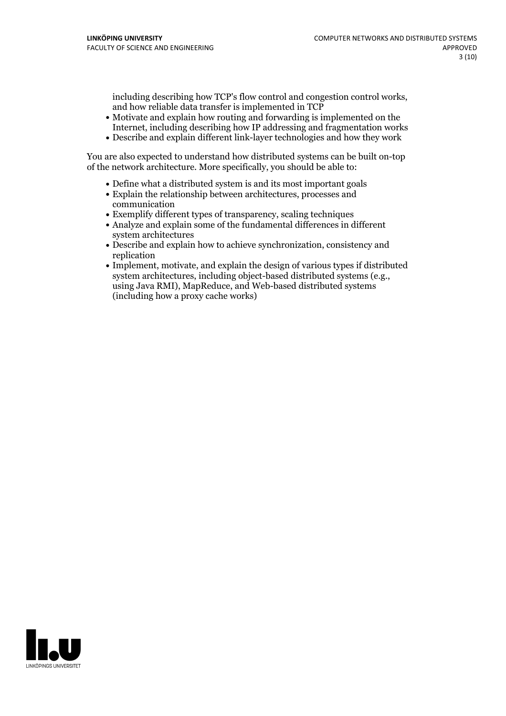including describing how TCP's flow control and congestion control works, and how reliable data transfer is implemented in TCP

- Motivate and explain how routing and forwarding is implemented on the Internet, including describing how IP addressing and fragmentation works
- Describe and explain different link-layer technologies and how they work

You are also expected to understand how distributed systems can be built on-top of the network architecture. More specifically, you should be able to:

- Define what a distributed system is and its most important goals
- Explain the relationship between architectures, processes and communication
- Exemplify different types of transparency, scaling techniques
- Analyze and explain some of the fundamental differences in different system architectures
- Describe and explain how to achieve synchronization, consistency and replication
- Implement, motivate, and explain the design of various types if distributed system architectures, including object-based distributed systems (e.g., using Java RMI), MapReduce, and Web-based distributed systems (including how a proxy cache works)

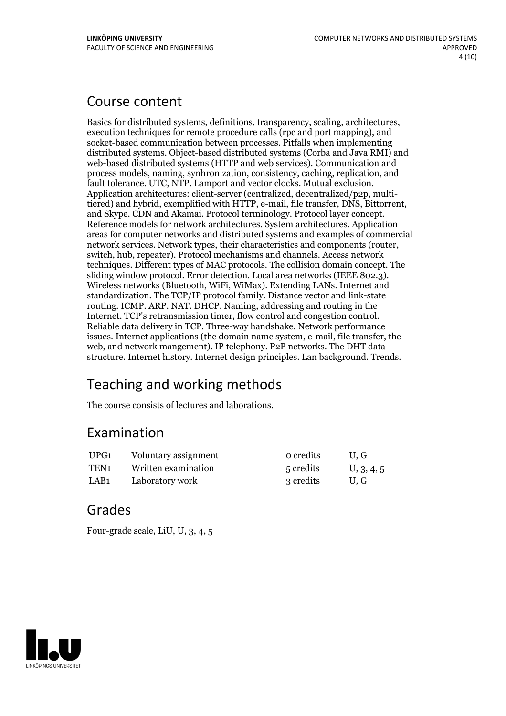# Course content

Basics for distributed systems, definitions, transparency, scaling, architectures, execution techniques for remote procedure calls (rpc and port mapping), and socket-based communication between processes. Pitfalls when implementing distributed systems. Object-based distributed systems (Corba and Java RMI) and web-based distributed systems (HTTP and web services). Communication and process models, naming, synhronization, consistency, caching, replication, and fault tolerance. UTC, NTP. Lamport and vector clocks. Mutual exclusion. Application architectures: client-server (centralized, decentralized/p2p, multitiered) and hybrid, exemplified with HTTP, e-mail, file transfer, DNS, Bittorrent, and Skype. CDN and Akamai. Protocol terminology. Protocol layer concept.<br>Reference models for network architectures. System architectures. areas for computer networks and distributed systems and examples of commercial network services. Network types, their characteristics and components (router, switch, hub, repeater). Protocol mechanisms and channels. Access network techniques. Different types of MAC protocols. The collision domain concept. The sliding window protocol. Error detection. Local area networks (IEEE 802.3). Wireless networks (Bluetooth, WiFi, WiMax). Extending LANs. Internet and standardization. The TCP/IP protocol family. Distance vector and link-state routing. ICMP. ARP. NAT. DHCP. Naming, addressing and routing in the Internet. TCP's retransmission timer, flow control and congestion control. Reliable data delivery in TCP. Three-way handshake. Network performance issues. Internet applications (the domain name system, e-mail, file transfer, the web, and network mangement). IP telephony. P2P networks. The DHT data structure. Internet history. Internet design principles. Lan background. Trends.

# Teaching and working methods

The course consists of lectures and laborations.

# Examination

| UPG1 | Voluntary assignment | o credits | U.G        |
|------|----------------------|-----------|------------|
| TEN1 | Written examination  | 5 credits | U, 3, 4, 5 |
| LAB1 | Laboratory work      | 3 credits | U.G        |

# Grades

Four-grade scale, LiU, U, 3, 4, 5

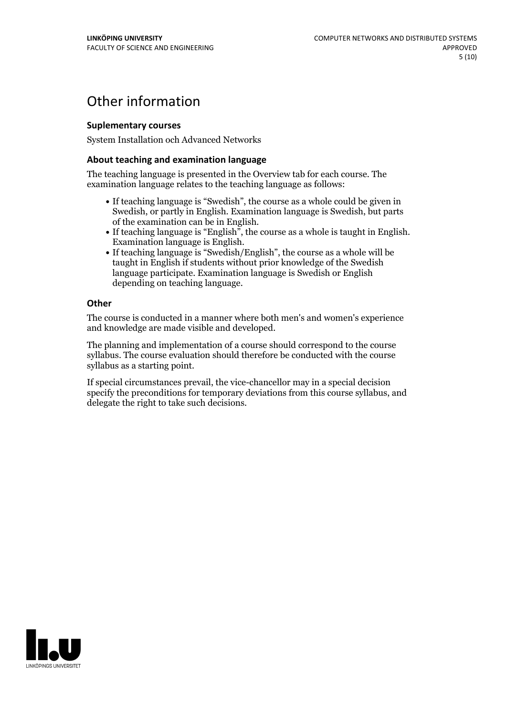# Other information

### **Suplementarycourses**

System Installation och Advanced Networks

### **About teaching and examination language**

The teaching language is presented in the Overview tab for each course. The examination language relates to the teaching language as follows:

- If teaching language is "Swedish", the course as a whole could be given in Swedish, or partly in English. Examination language is Swedish, but parts
- of the examination can be in English. If teaching language is "English", the course as <sup>a</sup> whole is taught in English. Examination language is English. If teaching language is "Swedish/English", the course as <sup>a</sup> whole will be
- taught in English if students without prior knowledge of the Swedish language participate. Examination language is Swedish or English depending on teaching language.

### **Other**

The course is conducted in a manner where both men's and women's experience and knowledge are made visible and developed.

The planning and implementation of a course should correspond to the course syllabus. The course evaluation should therefore be conducted with the course syllabus as a starting point.

If special circumstances prevail, the vice-chancellor may in a special decision specify the preconditions for temporary deviations from this course syllabus, and delegate the right to take such decisions.

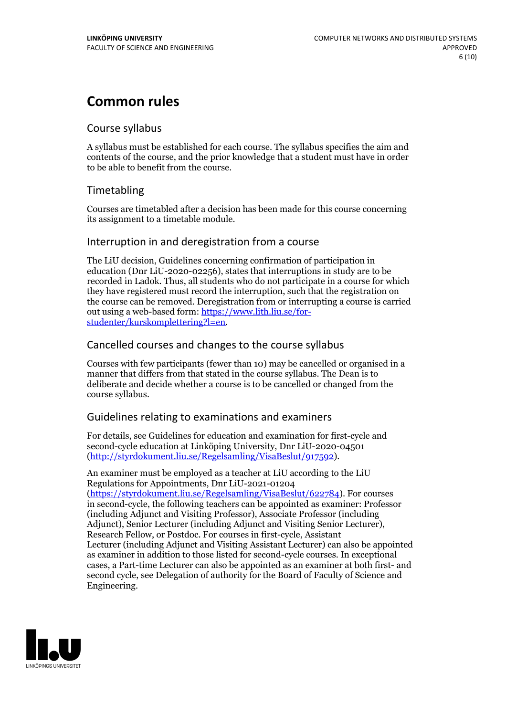# **Common rules**

### Course syllabus

A syllabus must be established for each course. The syllabus specifies the aim and contents of the course, and the prior knowledge that a student must have in order to be able to benefit from the course.

## Timetabling

Courses are timetabled after a decision has been made for this course concerning its assignment to a timetable module.

### Interruption in and deregistration from a course

The LiU decision, Guidelines concerning confirmation of participation in education (Dnr LiU-2020-02256), states that interruptions in study are to be recorded in Ladok. Thus, all students who do not participate in a course for which they have registered must record the interruption, such that the registration on the course can be removed. Deregistration from or interrupting a course is carried out using <sup>a</sup> web-based form: https://www.lith.liu.se/for- [studenter/kurskomplettering?l=en.](https://www.lith.liu.se/for-studenter/kurskomplettering?l=en)

## Cancelled coursesand changes to the course syllabus

Courses with few participants (fewer than 10) may be cancelled or organised in a manner that differs from that stated in the course syllabus. The Dean is to deliberate and decide whether a course is to be cancelled or changed from the course syllabus.

## Guidelines relating to examinations and examiners

For details, see Guidelines for education and examination for first-cycle and second-cycle education at Linköping University, Dnr LiU-2020-04501 [\(http://styrdokument.liu.se/Regelsamling/VisaBeslut/917592\)](http://styrdokument.liu.se/Regelsamling/VisaBeslut/917592).

An examiner must be employed as a teacher at LiU according to the LiU Regulations for Appointments, Dnr LiU-2021-01204 [\(https://styrdokument.liu.se/Regelsamling/VisaBeslut/622784](https://styrdokument.liu.se/Regelsamling/VisaBeslut/622784)). For courses in second-cycle, the following teachers can be appointed as examiner: Professor (including Adjunct and Visiting Professor), Associate Professor (including Adjunct), Senior Lecturer (including Adjunct and Visiting Senior Lecturer), Research Fellow, or Postdoc. For courses in first-cycle, Assistant Lecturer (including Adjunct and Visiting Assistant Lecturer) can also be appointed as examiner in addition to those listed for second-cycle courses. In exceptional cases, a Part-time Lecturer can also be appointed as an examiner at both first- and second cycle, see Delegation of authority for the Board of Faculty of Science and Engineering.

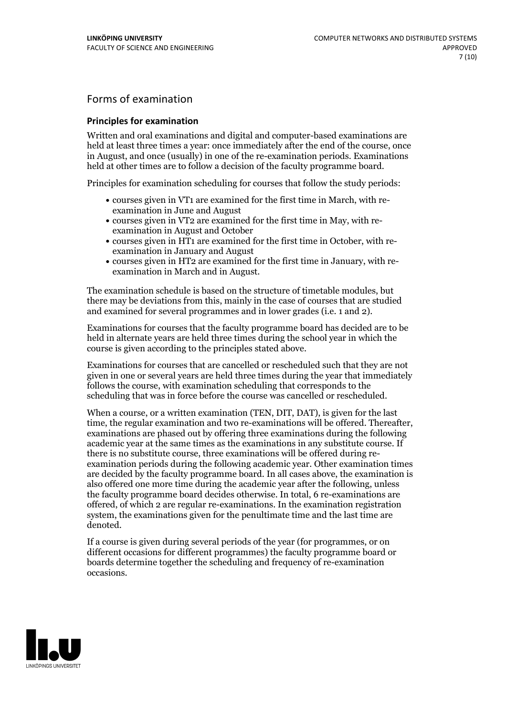## Forms of examination

### **Principles for examination**

Written and oral examinations and digital and computer-based examinations are held at least three times a year: once immediately after the end of the course, once in August, and once (usually) in one of the re-examination periods. Examinations held at other times are to follow a decision of the faculty programme board.

Principles for examination scheduling for courses that follow the study periods:

- courses given in VT1 are examined for the first time in March, with re-examination in June and August
- courses given in VT2 are examined for the first time in May, with re-examination in August and October
- courses given in HT1 are examined for the first time in October, with re-examination in January and August
- courses given in HT2 are examined for the first time in January, with re-examination in March and in August.

The examination schedule is based on the structure of timetable modules, but there may be deviations from this, mainly in the case of courses that are studied and examined for several programmes and in lower grades (i.e. 1 and 2).

Examinations for courses that the faculty programme board has decided are to be held in alternate years are held three times during the school year in which the course is given according to the principles stated above.

Examinations for courses that are cancelled orrescheduled such that they are not given in one or several years are held three times during the year that immediately follows the course, with examination scheduling that corresponds to the scheduling that was in force before the course was cancelled or rescheduled.

When a course, or a written examination (TEN, DIT, DAT), is given for the last time, the regular examination and two re-examinations will be offered. Thereafter, examinations are phased out by offering three examinations during the following academic year at the same times as the examinations in any substitute course. If there is no substitute course, three examinations will be offered during re- examination periods during the following academic year. Other examination times are decided by the faculty programme board. In all cases above, the examination is also offered one more time during the academic year after the following, unless the faculty programme board decides otherwise. In total, 6 re-examinations are offered, of which 2 are regular re-examinations. In the examination registration system, the examinations given for the penultimate time and the last time are denoted.

If a course is given during several periods of the year (for programmes, or on different occasions for different programmes) the faculty programme board or boards determine together the scheduling and frequency of re-examination occasions.

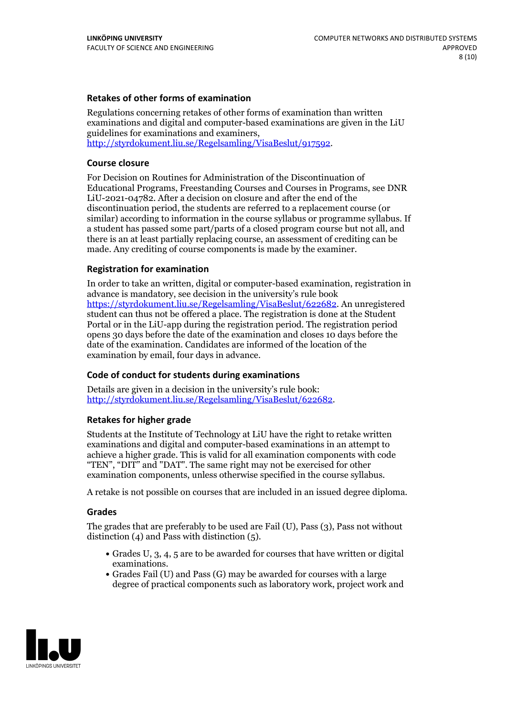### **Retakes of other forms of examination**

Regulations concerning retakes of other forms of examination than written examinations and digital and computer-based examinations are given in the LiU guidelines for examinations and examiners, [http://styrdokument.liu.se/Regelsamling/VisaBeslut/917592.](http://styrdokument.liu.se/Regelsamling/VisaBeslut/917592)

#### **Course closure**

For Decision on Routines for Administration of the Discontinuation of Educational Programs, Freestanding Courses and Courses in Programs, see DNR LiU-2021-04782. After a decision on closure and after the end of the discontinuation period, the students are referred to a replacement course (or similar) according to information in the course syllabus or programme syllabus. If a student has passed some part/parts of a closed program course but not all, and there is an at least partially replacing course, an assessment of crediting can be made. Any crediting of course components is made by the examiner.

#### **Registration for examination**

In order to take an written, digital or computer-based examination, registration in advance is mandatory, see decision in the university's rule book [https://styrdokument.liu.se/Regelsamling/VisaBeslut/622682.](https://styrdokument.liu.se/Regelsamling/VisaBeslut/622682) An unregistered student can thus not be offered a place. The registration is done at the Student Portal or in the LiU-app during the registration period. The registration period opens 30 days before the date of the examination and closes 10 days before the date of the examination. Candidates are informed of the location of the examination by email, four days in advance.

#### **Code of conduct for students during examinations**

Details are given in a decision in the university's rule book: <http://styrdokument.liu.se/Regelsamling/VisaBeslut/622682>.

#### **Retakes for higher grade**

Students at the Institute of Technology at LiU have the right to retake written examinations and digital and computer-based examinations in an attempt to achieve a higher grade. This is valid for all examination components with code "TEN", "DIT" and "DAT". The same right may not be exercised for other examination components, unless otherwise specified in the course syllabus.

A retake is not possible on courses that are included in an issued degree diploma.

#### **Grades**

The grades that are preferably to be used are Fail (U), Pass (3), Pass not without distinction  $(4)$  and Pass with distinction  $(5)$ .

- Grades U, 3, 4, 5 are to be awarded for courses that have written or digital examinations.<br>• Grades Fail (U) and Pass (G) may be awarded for courses with a large
- degree of practical components such as laboratory work, project work and

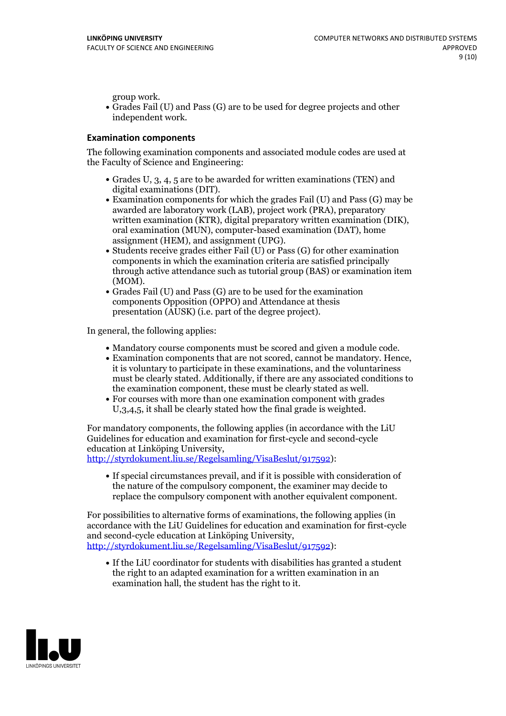group work.<br>• Grades Fail (U) and Pass (G) are to be used for degree projects and other independent work.

### **Examination components**

The following examination components and associated module codes are used at the Faculty of Science and Engineering:

- Grades U, 3, 4, 5 are to be awarded for written examinations (TEN) and
- digital examinations (DIT).<br>• Examination components for which the grades Fail (U) and Pass (G) may be awarded are laboratory work (LAB), project work (PRA), preparatory written examination (KTR), digital preparatory written examination (DIK), oral examination (MUN), computer-based examination (DAT), home
- assignment (HEM), and assignment (UPG).<br>• Students receive grades either Fail (U) or Pass (G) for other examination components in which the examination criteria are satisfied principally through active attendance such as tutorial group (BAS) or examination item
- (MOM).<br>• Grades Fail (U) and Pass (G) are to be used for the examination components Opposition (OPPO) and Attendance at thesis presentation (AUSK) (i.e. part of the degree project).

In general, the following applies:

- 
- Mandatory course components must be scored and given <sup>a</sup> module code. Examination components that are not scored, cannot be mandatory. Hence, it is voluntary to participate in these examinations, and the voluntariness must be clearly stated. Additionally, if there are any associated conditions to
- the examination component, these must be clearly stated as well.<br>• For courses with more than one examination component with grades U,3,4,5, it shall be clearly stated how the final grade is weighted.

For mandatory components, the following applies (in accordance with the LiU Guidelines for education and examination for first-cycle and second-cycle

[http://styrdokument.liu.se/Regelsamling/VisaBeslut/917592\)](http://styrdokument.liu.se/Regelsamling/VisaBeslut/917592):

If special circumstances prevail, and if it is possible with consideration of the nature of the compulsory component, the examiner may decide to replace the compulsory component with another equivalent component.

For possibilities to alternative forms of examinations, the following applies (in accordance with the LiU Guidelines for education and examination for first-cycle [http://styrdokument.liu.se/Regelsamling/VisaBeslut/917592\)](http://styrdokument.liu.se/Regelsamling/VisaBeslut/917592):

If the LiU coordinator for students with disabilities has granted a student the right to an adapted examination for a written examination in an examination hall, the student has the right to it.